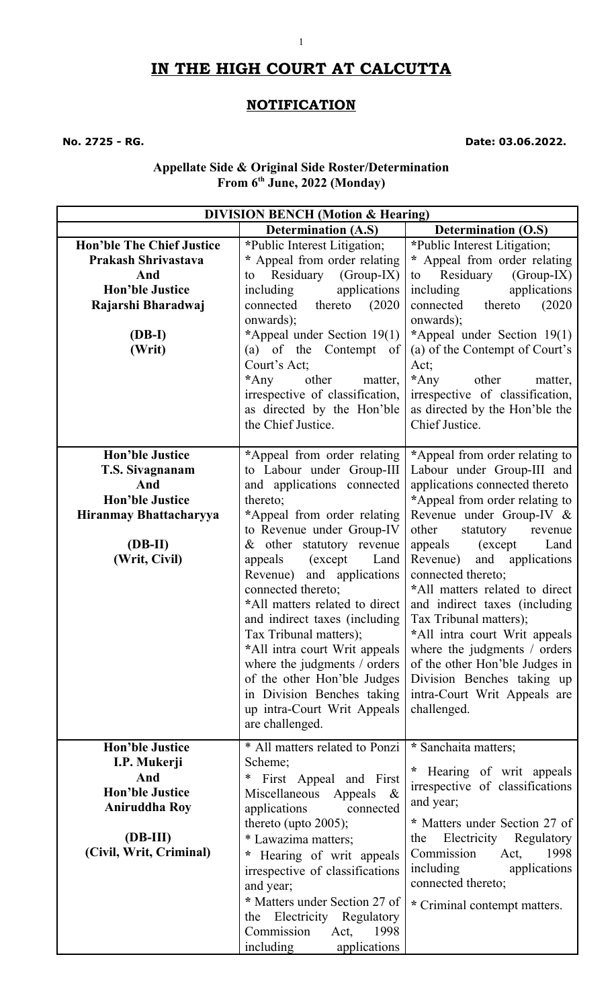# **IN THE HIGH COURT AT CALCUTTA**

1

### **NOTIFICATION**

**No. 2725 - RG. Date: 03.06.2022.**

#### **Appellate Side & Original Side Roster/Determination From 6th June, 2022 (Monday)**

| <b>DIVISION BENCH (Motion &amp; Hearing)</b> |                                       |                                 |
|----------------------------------------------|---------------------------------------|---------------------------------|
|                                              | <b>Determination (A.S)</b>            | <b>Determination (O.S)</b>      |
| <b>Hon'ble The Chief Justice</b>             | *Public Interest Litigation;          | *Public Interest Litigation;    |
| <b>Prakash Shrivastava</b>                   | * Appeal from order relating          | * Appeal from order relating    |
| And                                          | to Residuary (Group-IX)               | $(Group-IX)$<br>Residuary<br>to |
| <b>Hon'ble Justice</b>                       | applications<br>including             | applications<br>including       |
| Rajarshi Bharadwaj                           | thereto<br>(2020)<br>connected        | thereto<br>connected<br>(2020)  |
|                                              | onwards);                             | onwards);                       |
| (DB-I)                                       | *Appeal under Section 19(1)           | *Appeal under Section 19(1)     |
| (Writ)                                       | (a) of the Contempt of                | (a) of the Contempt of Court's  |
|                                              | Court's Act;                          | Act;                            |
|                                              | $*$ Any<br>other<br>matter,           | $*$ Any<br>other<br>matter,     |
|                                              | irrespective of classification,       | irrespective of classification, |
|                                              | as directed by the Hon'ble            | as directed by the Hon'ble the  |
|                                              | the Chief Justice.                    | Chief Justice.                  |
| <b>Hon'ble Justice</b>                       | *Appeal from order relating           | *Appeal from order relating to  |
| T.S. Sivagnanam                              | to Labour under Group-III             | Labour under Group-III and      |
| And                                          | and applications connected            | applications connected thereto  |
| <b>Hon'ble Justice</b>                       | thereto;                              | *Appeal from order relating to  |
| Hiranmay Bhattacharyya                       | *Appeal from order relating           | Revenue under Group-IV &        |
|                                              | to Revenue under Group-IV             | other<br>statutory<br>revenue   |
| $(DB-II)$                                    | & other statutory revenue             | appeals (except<br>Land         |
| (Writ, Civil)                                | appeals<br>(except)<br>Land           | and applications<br>Revenue)    |
|                                              | Revenue) and applications             | connected thereto;              |
|                                              | connected thereto;                    | *All matters related to direct  |
|                                              | *All matters related to direct        | and indirect taxes (including   |
|                                              | and indirect taxes (including         | Tax Tribunal matters);          |
|                                              | Tax Tribunal matters);                | *All intra court Writ appeals   |
|                                              | *All intra court Writ appeals         | where the judgments / orders    |
|                                              | where the judgments / orders          | of the other Hon'ble Judges in  |
|                                              | of the other Hon'ble Judges           | Division Benches taking up      |
|                                              | in Division Benches taking            | intra-Court Writ Appeals are    |
|                                              | up intra-Court Writ Appeals           | challenged.                     |
|                                              | are challenged.                       |                                 |
| <b>Hon'ble Justice</b>                       | * All matters related to Ponzi        | * Sanchaita matters;            |
| I.P. Mukerji                                 | Scheme;                               | Hearing of writ appeals         |
| And                                          | $\ast$<br>First Appeal and First      | irrespective of classifications |
| <b>Hon'ble Justice</b>                       | Miscellaneous<br>Appeals<br>$\propto$ | and year;                       |
| <b>Aniruddha Roy</b>                         | applications<br>connected             |                                 |
|                                              | thereto (upto $2005$ );               | * Matters under Section 27 of   |
| (DB-III)                                     | * Lawazima matters;                   | Electricity Regulatory<br>the   |
| (Civil, Writ, Criminal)                      | Hearing of writ appeals               | Commission<br>1998<br>Act,      |
|                                              | irrespective of classifications       | including<br>applications       |
|                                              | and year;                             | connected thereto;              |
|                                              | * Matters under Section 27 of         | * Criminal contempt matters.    |
|                                              | the Electricity Regulatory            |                                 |
|                                              | Commission<br>1998<br>Act,            |                                 |
|                                              | including<br>applications             |                                 |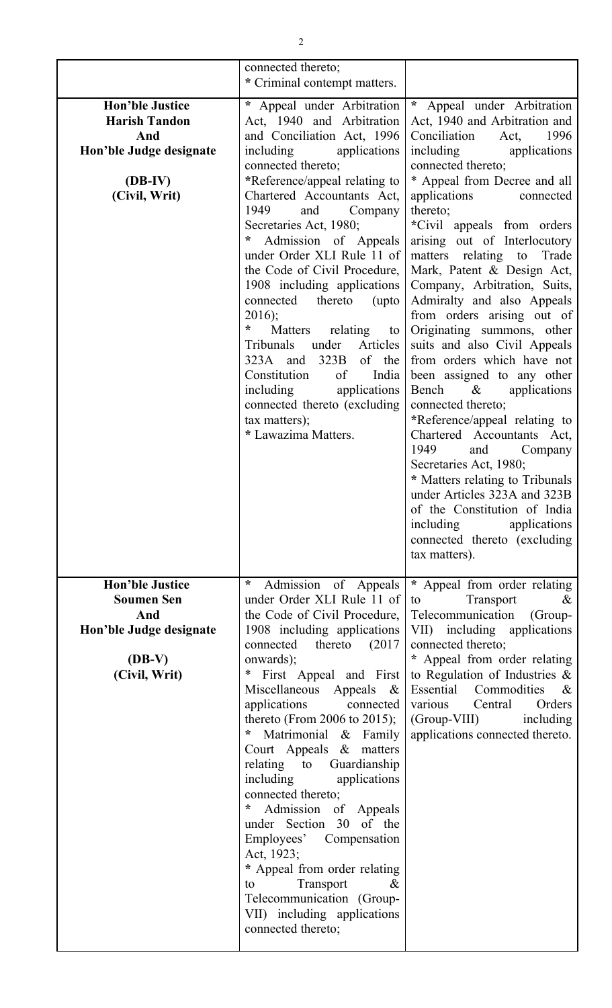|                                                                                                                | connected thereto;<br>* Criminal contempt matters.                                                                                                                                                                                                                                                                                                                                                                                                                                                                                                                                                                                                            |                                                                                                                                                                                                                                                                                                                                                                                                                                                                                                                                                                                                                                                                                                                                                                                                                                                                                                                                   |
|----------------------------------------------------------------------------------------------------------------|---------------------------------------------------------------------------------------------------------------------------------------------------------------------------------------------------------------------------------------------------------------------------------------------------------------------------------------------------------------------------------------------------------------------------------------------------------------------------------------------------------------------------------------------------------------------------------------------------------------------------------------------------------------|-----------------------------------------------------------------------------------------------------------------------------------------------------------------------------------------------------------------------------------------------------------------------------------------------------------------------------------------------------------------------------------------------------------------------------------------------------------------------------------------------------------------------------------------------------------------------------------------------------------------------------------------------------------------------------------------------------------------------------------------------------------------------------------------------------------------------------------------------------------------------------------------------------------------------------------|
| <b>Hon'ble Justice</b><br><b>Harish Tandon</b><br>And<br>Hon'ble Judge designate<br>$(DB-IV)$<br>(Civil, Writ) | * Appeal under Arbitration<br>Act, 1940 and Arbitration<br>and Conciliation Act, 1996<br>including applications<br>connected thereto;<br>*Reference/appeal relating to<br>Chartered Accountants Act,<br>1949<br>Company<br>and<br>Secretaries Act, 1980;<br>Admission of Appeals<br>under Order XLI Rule 11 of<br>the Code of Civil Procedure,<br>1908 including applications<br>connected thereto (upto<br>2016);<br>$\ast$<br>Matters relating to<br>under<br>Articles<br>Tribunals<br>323B<br>of the<br>323A and<br>India<br>Constitution<br>$\sigma$<br>applications<br>including<br>connected thereto (excluding<br>tax matters);<br>* Lawazima Matters. | * Appeal under Arbitration<br>Act, 1940 and Arbitration and<br>Conciliation<br>Act,<br>1996<br>including<br>applications<br>connected thereto;<br>* Appeal from Decree and all<br>applications<br>connected<br>thereto;<br>*Civil appeals from orders<br>arising out of Interlocutory<br>matters relating to Trade<br>Mark, Patent & Design Act,<br>Company, Arbitration, Suits,<br>Admiralty and also Appeals<br>from orders arising out of<br>Originating summons, other<br>suits and also Civil Appeals<br>from orders which have not<br>been assigned to any other<br>Bench<br>$\&$<br>applications<br>connected thereto;<br>*Reference/appeal relating to<br>Chartered Accountants Act,<br>1949<br>and<br>Company<br>Secretaries Act, 1980;<br>* Matters relating to Tribunals<br>under Articles 323A and 323B<br>of the Constitution of India<br>including<br>applications<br>connected thereto (excluding<br>tax matters). |
| <b>Hon'ble Justice</b><br><b>Soumen Sen</b><br>And<br>Hon'ble Judge designate                                  | $\ast$<br>Admission of Appeals<br>under Order XLI Rule 11 of<br>the Code of Civil Procedure,<br>1908 including applications<br>thereto $(2017)$<br>connected                                                                                                                                                                                                                                                                                                                                                                                                                                                                                                  | * Appeal from order relating<br>Transport<br>$\&$<br>to<br>Telecommunication (Group-<br>VII) including applications<br>connected thereto;                                                                                                                                                                                                                                                                                                                                                                                                                                                                                                                                                                                                                                                                                                                                                                                         |
| $(DB-V)$<br>(Civil, Writ)                                                                                      | onwards);<br>∗<br>First Appeal and First<br>Miscellaneous Appeals<br>$-\&$<br>applications<br>connected<br>thereto (From 2006 to 2015);<br>$^{\ast}$<br>Matrimonial & Family<br>Court Appeals & matters<br>relating to Guardianship<br>including<br>applications<br>connected thereto;<br>Admission of Appeals<br>*<br>under Section 30 of the<br>Employees' Compensation<br>Act, 1923;<br>* Appeal from order relating<br>Transport<br>&<br>to<br>Telecommunication (Group-<br>VII) including applications<br>connected thereto;                                                                                                                             | * Appeal from order relating<br>to Regulation of Industries $\&$<br>Essential Commodities<br>$\&$<br>various Central<br>Orders<br>$(Group-VIII)$<br>including<br>applications connected thereto.                                                                                                                                                                                                                                                                                                                                                                                                                                                                                                                                                                                                                                                                                                                                  |

2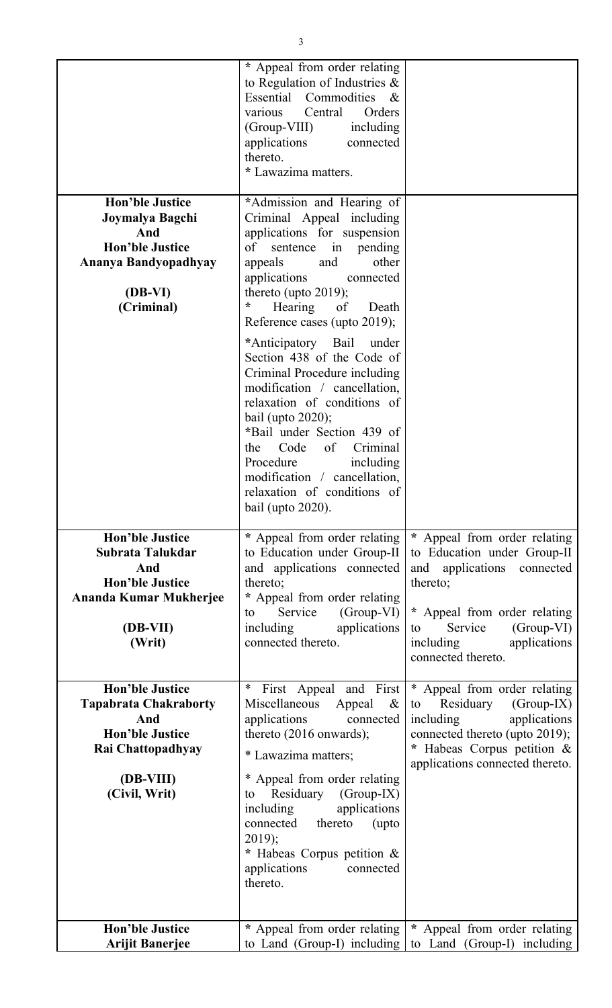|                                                                                                                               | * Appeal from order relating<br>to Regulation of Industries $\&$<br>Essential Commodities &<br>Central<br>various<br>Orders<br>(Group-VIII)<br>including<br>applications<br>connected<br>thereto.<br>* Lawazima matters.                                                                                                                                      |                                                                                                                                                                                                                         |
|-------------------------------------------------------------------------------------------------------------------------------|---------------------------------------------------------------------------------------------------------------------------------------------------------------------------------------------------------------------------------------------------------------------------------------------------------------------------------------------------------------|-------------------------------------------------------------------------------------------------------------------------------------------------------------------------------------------------------------------------|
| <b>Hon'ble Justice</b><br>Joymalya Bagchi<br>And<br><b>Hon'ble Justice</b><br>Ananya Bandyopadhyay<br>$(DB-VI)$<br>(Criminal) | *Admission and Hearing of<br>Criminal Appeal including<br>applications for suspension<br>of<br>sentence<br>in pending<br>and<br>other<br>appeals<br>applications<br>connected<br>thereto (upto $2019$ );<br>÷<br>Hearing<br>of<br>Death<br>Reference cases (upto 2019);                                                                                       |                                                                                                                                                                                                                         |
|                                                                                                                               | *Anticipatory Bail<br>under<br>Section 438 of the Code of<br>Criminal Procedure including<br>modification / cancellation,<br>relaxation of conditions of<br>bail (upto $2020$ );<br>*Bail under Section 439 of<br>Code<br>of<br>Criminal<br>the<br>Procedure<br>including<br>modification / cancellation,<br>relaxation of conditions of<br>bail (upto 2020). |                                                                                                                                                                                                                         |
| <b>Hon'ble Justice</b><br>Subrata Talukdar<br>And<br><b>Hon'ble Justice</b><br>Ananda Kumar Mukherjee<br>(DB-VII)<br>(Writ)   | * Appeal from order relating<br>to Education under Group-II<br>and applications connected<br>thereto;<br>* Appeal from order relating<br>Service<br>$(Group-VI)$<br>to<br>including<br>applications<br>connected thereto.                                                                                                                                     | * Appeal from order relating<br>to Education under Group-II<br>and applications connected<br>thereto;<br>* Appeal from order relating<br>(Group-VI)<br>Service<br>to<br>including<br>applications<br>connected thereto. |
| <b>Hon'ble Justice</b><br><b>Tapabrata Chakraborty</b><br>And<br><b>Hon'ble Justice</b><br>Rai Chattopadhyay                  | $\ast$<br>First Appeal and First<br>Miscellaneous<br>Appeal<br>$\&$<br>applications<br>connected<br>thereto (2016 onwards);<br>* Lawazima matters;                                                                                                                                                                                                            | * Appeal from order relating<br>Residuary<br>$(Group-IX)$<br>to<br>applications<br>including<br>connected thereto (upto 2019);<br>* Habeas Corpus petition &<br>applications connected thereto.                         |
| (DB-VIII)<br>(Civil, Writ)                                                                                                    | * Appeal from order relating<br>(Group-IX)<br>Residuary<br>to<br>applications<br>including<br>connected thereto<br>(upto<br>$2019$ ;<br>* Habeas Corpus petition $\&$<br>applications<br>connected<br>thereto.                                                                                                                                                |                                                                                                                                                                                                                         |
| <b>Hon'ble Justice</b><br><b>Arijit Banerjee</b>                                                                              | * Appeal from order relating<br>to Land (Group-I) including                                                                                                                                                                                                                                                                                                   | * Appeal from order relating<br>to Land (Group-I) including                                                                                                                                                             |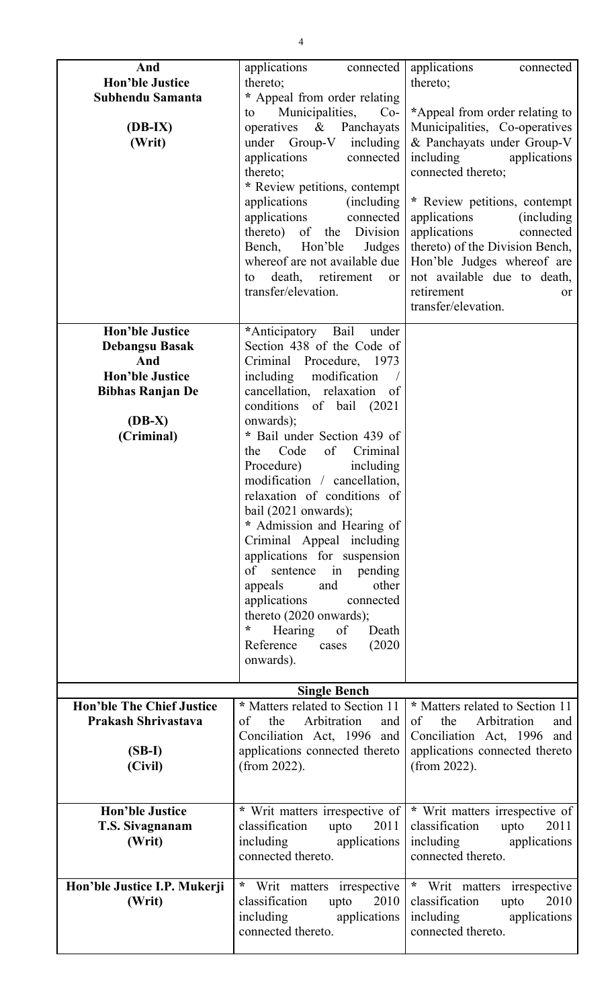| And<br><b>Hon'ble Justice</b><br>Subhendu Samanta<br>$(DB-IX)$<br>(Writ)                                                              | applications<br>connected<br>thereto;<br>* Appeal from order relating<br>Municipalities,<br>$Co-$<br>to<br>operatives<br>$\&$<br>Panchayats<br>under Group-V including<br>applications<br>connected<br>thereto;<br>* Review petitions, contempt<br>applications<br><i>(including)</i><br>applications<br>connected<br>thereto) of<br>the Division<br>Bench,<br>Hon'ble<br>Judges<br>whereof are not available due<br>death, retirement<br>to<br>or<br>transfer/elevation.                                                                                                                                                                                                | applications<br>connected<br>thereto;<br>*Appeal from order relating to<br>Municipalities, Co-operatives<br>& Panchayats under Group-V<br>including<br>applications<br>connected thereto;<br>* Review petitions, contempt<br>applications<br>(including)<br>applications<br>connected<br>thereto) of the Division Bench,<br>Hon'ble Judges whereof are<br>not available due to death,<br>retirement<br>or<br>transfer/elevation. |
|---------------------------------------------------------------------------------------------------------------------------------------|--------------------------------------------------------------------------------------------------------------------------------------------------------------------------------------------------------------------------------------------------------------------------------------------------------------------------------------------------------------------------------------------------------------------------------------------------------------------------------------------------------------------------------------------------------------------------------------------------------------------------------------------------------------------------|----------------------------------------------------------------------------------------------------------------------------------------------------------------------------------------------------------------------------------------------------------------------------------------------------------------------------------------------------------------------------------------------------------------------------------|
| <b>Hon'ble Justice</b><br><b>Debangsu Basak</b><br>And<br><b>Hon'ble Justice</b><br><b>Bibhas Ranjan De</b><br>$(DB-X)$<br>(Criminal) | *Anticipatory<br>Bail<br>under<br>Section 438 of the Code of<br>Criminal Procedure, 1973<br>including<br>modification<br>cancellation, relaxation<br>of<br>conditions of bail (2021)<br>onwards);<br>* Bail under Section 439 of<br>Criminal<br>Code<br>of<br>the<br>Procedure)<br>including<br>modification / cancellation,<br>relaxation of conditions of<br>bail $(2021$ onwards);<br>* Admission and Hearing of<br>Criminal Appeal including<br>applications for suspension<br>sentence in pending<br>of<br>other<br>and<br>appeals<br>applications<br>connected<br>thereto (2020 onwards);<br>Hearing of<br>*<br>Death<br>(2020)<br>Reference<br>cases<br>onwards). |                                                                                                                                                                                                                                                                                                                                                                                                                                  |
|                                                                                                                                       | <b>Single Bench</b>                                                                                                                                                                                                                                                                                                                                                                                                                                                                                                                                                                                                                                                      |                                                                                                                                                                                                                                                                                                                                                                                                                                  |
| <b>Hon'ble The Chief Justice</b>                                                                                                      | * Matters related to Section 11                                                                                                                                                                                                                                                                                                                                                                                                                                                                                                                                                                                                                                          | * Matters related to Section 11                                                                                                                                                                                                                                                                                                                                                                                                  |
| Prakash Shrivastava                                                                                                                   | Arbitration<br>the<br>of<br>and                                                                                                                                                                                                                                                                                                                                                                                                                                                                                                                                                                                                                                          | Arbitration<br>the<br>of<br>and                                                                                                                                                                                                                                                                                                                                                                                                  |
|                                                                                                                                       | Conciliation Act, 1996 and                                                                                                                                                                                                                                                                                                                                                                                                                                                                                                                                                                                                                                               | Conciliation Act, 1996 and                                                                                                                                                                                                                                                                                                                                                                                                       |
| $(SB-I)$                                                                                                                              | applications connected thereto                                                                                                                                                                                                                                                                                                                                                                                                                                                                                                                                                                                                                                           | applications connected thereto                                                                                                                                                                                                                                                                                                                                                                                                   |
| (Civil)                                                                                                                               | (from 2022).                                                                                                                                                                                                                                                                                                                                                                                                                                                                                                                                                                                                                                                             | (from $2022$ ).                                                                                                                                                                                                                                                                                                                                                                                                                  |
|                                                                                                                                       |                                                                                                                                                                                                                                                                                                                                                                                                                                                                                                                                                                                                                                                                          |                                                                                                                                                                                                                                                                                                                                                                                                                                  |
|                                                                                                                                       |                                                                                                                                                                                                                                                                                                                                                                                                                                                                                                                                                                                                                                                                          |                                                                                                                                                                                                                                                                                                                                                                                                                                  |
|                                                                                                                                       |                                                                                                                                                                                                                                                                                                                                                                                                                                                                                                                                                                                                                                                                          |                                                                                                                                                                                                                                                                                                                                                                                                                                  |
| <b>Hon'ble Justice</b>                                                                                                                | * Writ matters irrespective of                                                                                                                                                                                                                                                                                                                                                                                                                                                                                                                                                                                                                                           | * Writ matters irrespective of                                                                                                                                                                                                                                                                                                                                                                                                   |
| T.S. Sivagnanam                                                                                                                       | 2011<br>classification<br>upto                                                                                                                                                                                                                                                                                                                                                                                                                                                                                                                                                                                                                                           | classification<br>2011<br>upto                                                                                                                                                                                                                                                                                                                                                                                                   |
| (Writ)                                                                                                                                | including<br>applications                                                                                                                                                                                                                                                                                                                                                                                                                                                                                                                                                                                                                                                | including<br>applications                                                                                                                                                                                                                                                                                                                                                                                                        |
|                                                                                                                                       | connected thereto.                                                                                                                                                                                                                                                                                                                                                                                                                                                                                                                                                                                                                                                       | connected thereto.                                                                                                                                                                                                                                                                                                                                                                                                               |
|                                                                                                                                       |                                                                                                                                                                                                                                                                                                                                                                                                                                                                                                                                                                                                                                                                          |                                                                                                                                                                                                                                                                                                                                                                                                                                  |
| Hon'ble Justice I.P. Mukerji                                                                                                          | $\ast$<br>Writ matters irrespective                                                                                                                                                                                                                                                                                                                                                                                                                                                                                                                                                                                                                                      | $\ast$<br>Writ matters irrespective                                                                                                                                                                                                                                                                                                                                                                                              |
| (Writ)                                                                                                                                | classification<br>2010<br>upto                                                                                                                                                                                                                                                                                                                                                                                                                                                                                                                                                                                                                                           | classification<br>2010<br>upto                                                                                                                                                                                                                                                                                                                                                                                                   |
|                                                                                                                                       | including<br>applications                                                                                                                                                                                                                                                                                                                                                                                                                                                                                                                                                                                                                                                | including<br>applications                                                                                                                                                                                                                                                                                                                                                                                                        |
|                                                                                                                                       | connected thereto.                                                                                                                                                                                                                                                                                                                                                                                                                                                                                                                                                                                                                                                       | connected thereto.                                                                                                                                                                                                                                                                                                                                                                                                               |
|                                                                                                                                       |                                                                                                                                                                                                                                                                                                                                                                                                                                                                                                                                                                                                                                                                          |                                                                                                                                                                                                                                                                                                                                                                                                                                  |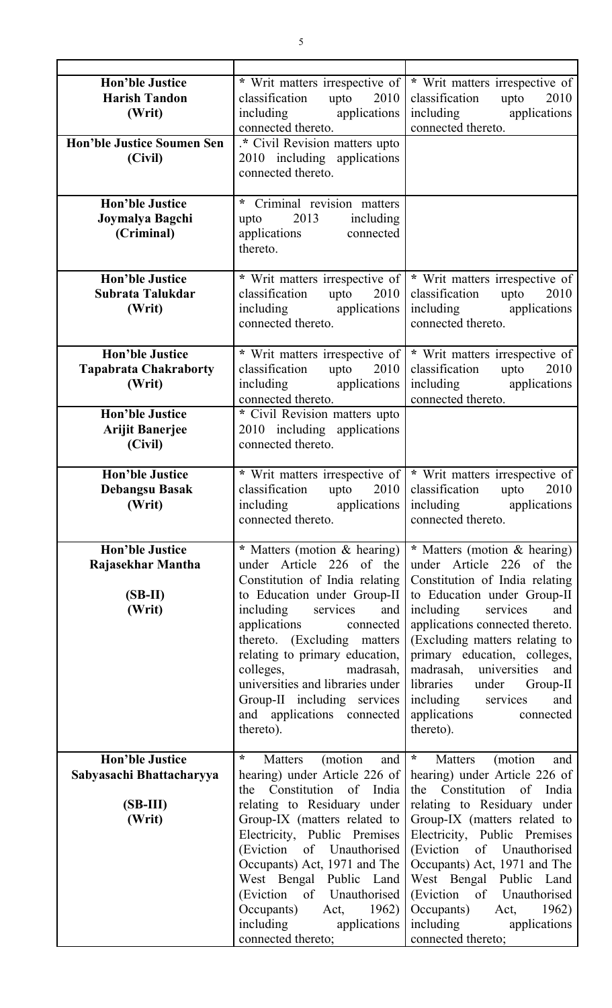| <b>Hon'ble Justice</b><br><b>Harish Tandon</b><br>(Writ)<br><b>Hon'ble Justice Soumen Sen</b><br>(Civil) | * Writ matters irrespective of<br>classification<br>upto $2010$<br>including applications<br>connected thereto.<br>.* Civil Revision matters upto<br>2010 including applications                                                                                                                                                                                                             | * Writ matters irrespective of<br>classification<br>upto<br>2010<br>including applications<br>connected thereto.                                                                                                                                                                                                                                                                             |
|----------------------------------------------------------------------------------------------------------|----------------------------------------------------------------------------------------------------------------------------------------------------------------------------------------------------------------------------------------------------------------------------------------------------------------------------------------------------------------------------------------------|----------------------------------------------------------------------------------------------------------------------------------------------------------------------------------------------------------------------------------------------------------------------------------------------------------------------------------------------------------------------------------------------|
|                                                                                                          | connected thereto.                                                                                                                                                                                                                                                                                                                                                                           |                                                                                                                                                                                                                                                                                                                                                                                              |
| <b>Hon'ble Justice</b><br>Joymalya Bagchi<br>(Criminal)                                                  | Criminal revision matters<br>*<br>2013<br>including<br>upto<br>applications<br>connected<br>thereto.                                                                                                                                                                                                                                                                                         |                                                                                                                                                                                                                                                                                                                                                                                              |
| <b>Hon'ble Justice</b><br>Subrata Talukdar<br>(Writ)                                                     | * Writ matters irrespective of<br>2010<br>classification<br>upto<br>including applications<br>connected thereto.                                                                                                                                                                                                                                                                             | * Writ matters irrespective of<br>2010<br>classification<br>upto<br>including applications<br>connected thereto.                                                                                                                                                                                                                                                                             |
| <b>Hon'ble Justice</b><br><b>Tapabrata Chakraborty</b><br>(Writ)<br><b>Hon'ble Justice</b>               | * Writ matters irrespective of<br>classification<br>upto<br>2010<br>including applications<br>connected thereto.                                                                                                                                                                                                                                                                             | * Writ matters irrespective of<br>classification<br>upto<br>2010<br>including applications<br>connected thereto.                                                                                                                                                                                                                                                                             |
| <b>Arijit Banerjee</b><br>(Civil)                                                                        | * Civil Revision matters upto<br>2010 including applications<br>connected thereto.                                                                                                                                                                                                                                                                                                           |                                                                                                                                                                                                                                                                                                                                                                                              |
| <b>Hon'ble Justice</b><br><b>Debangsu Basak</b><br>(Writ)                                                | * Writ matters irrespective of<br>classification<br>upto $2010$<br>applications  <br>including<br>connected thereto.                                                                                                                                                                                                                                                                         | * Writ matters irrespective of<br>classification<br>2010<br>upto<br>applications<br>including<br>connected thereto.                                                                                                                                                                                                                                                                          |
| <b>Hon'ble Justice</b><br>Rajasekhar Mantha<br>$(SB-II)$<br>(Writ)                                       | * Matters (motion & hearing)<br>under Article 226 of the<br>Constitution of India relating<br>to Education under Group-II<br>including services<br>and<br>applications<br>connected<br>thereto. (Excluding matters<br>relating to primary education,<br>colleges, madrasah,<br>universities and libraries under<br>Group-II including services<br>and applications connected<br>thereto).    | * Matters (motion & hearing)<br>under Article 226 of the<br>Constitution of India relating<br>to Education under Group-II<br>including services<br>and<br>applications connected thereto.<br>(Excluding matters relating to<br>primary education, colleges,<br>madrasah, universities and<br>libraries under Group-II<br>including services<br>and<br>applications<br>connected<br>thereto). |
| <b>Hon'ble Justice</b><br>Sabyasachi Bhattacharyya<br>$(SB-III)$<br>(Writ)                               | $\star$<br>Matters (motion<br>and<br>hearing) under Article 226 of<br>the Constitution of India<br>relating to Residuary under<br>Group-IX (matters related to<br>Electricity, Public Premises<br>(Eviction of Unauthorised<br>Occupants) Act, 1971 and The<br>West Bengal Public Land<br>(Eviction of Unauthorised<br>Occupants) Act, 1962)<br>including applications<br>connected thereto; | $\star$<br>Matters (motion and<br>hearing) under Article 226 of<br>the Constitution of India<br>relating to Residuary under<br>Group-IX (matters related to<br>Electricity, Public Premises<br>(Eviction of Unauthorised<br>Occupants) Act, 1971 and The<br>West Bengal Public Land<br>(Eviction of Unauthorised<br>Occupants) Act, 1962)<br>including applications<br>connected thereto;    |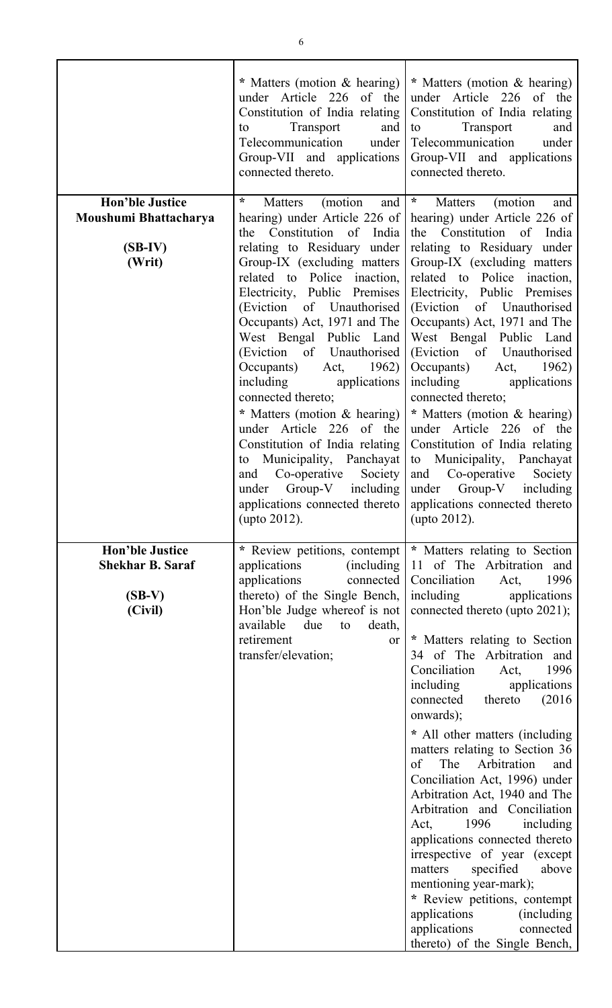|                                                                          | * Matters (motion & hearing)<br>under Article 226 of the<br>Constitution of India relating<br>Transport<br>and<br>to<br>Telecommunication<br>under  <br>Group-VII and applications<br>connected thereto.                                                                                                                                                                                                                                                                                                                                                                                                                                               | * Matters (motion & hearing)<br>under Article 226 of the<br>Constitution of India relating<br>Transport<br>and<br>to<br>Telecommunication<br>under<br>Group-VII and applications<br>connected thereto.                                                                                                                                                                                                                                                                                                                                                                                                                                                                                                                                                                                                                              |
|--------------------------------------------------------------------------|--------------------------------------------------------------------------------------------------------------------------------------------------------------------------------------------------------------------------------------------------------------------------------------------------------------------------------------------------------------------------------------------------------------------------------------------------------------------------------------------------------------------------------------------------------------------------------------------------------------------------------------------------------|-------------------------------------------------------------------------------------------------------------------------------------------------------------------------------------------------------------------------------------------------------------------------------------------------------------------------------------------------------------------------------------------------------------------------------------------------------------------------------------------------------------------------------------------------------------------------------------------------------------------------------------------------------------------------------------------------------------------------------------------------------------------------------------------------------------------------------------|
| <b>Hon'ble Justice</b><br>Moushumi Bhattacharya<br>$(SB-IV)$<br>(Writ)   | $\star$<br>Matters<br>(motion<br>and<br>hearing) under Article 226 of<br>the Constitution of India<br>relating to Residuary under<br>Group-IX (excluding matters<br>related to Police inaction,<br>Electricity, Public Premises<br>(Eviction of Unauthorised<br>Occupants) Act, 1971 and The<br>West Bengal Public Land<br>(Eviction of Unauthorised)<br>Occupants)<br>Act, $1962$ )<br>including<br>applications<br>connected thereto;<br>* Matters (motion & hearing)<br>under Article 226 of the<br>Constitution of India relating<br>Municipality, Panchayat<br>to<br>Society<br>Co-operative<br>and<br>under Group-V<br>including<br>(upto 2012). | $\ddot{x}$<br>Matters<br>(motion)<br>and<br>hearing) under Article 226 of<br>the Constitution of India<br>relating to Residuary under<br>Group-IX (excluding matters<br>related to Police inaction,<br>Electricity, Public Premises<br>(Eviction of Unauthorised<br>Occupants) Act, 1971 and The<br>West Bengal Public Land<br>(Eviction of Unauthorised<br>Occupants) Act,<br>1962)<br>including applications<br>connected thereto;<br>* Matters (motion & hearing)<br>under Article 226 of the<br>Constitution of India relating<br>to Municipality, Panchayat<br>and Co-operative Society<br>under Group-V including<br>applications connected thereto   applications connected thereto  <br>(upto 2012).                                                                                                                        |
| <b>Hon'ble Justice</b><br><b>Shekhar B. Saraf</b><br>$(SB-V)$<br>(Civil) | * Review petitions, contempt<br>applications<br>(including)<br>applications<br>connected<br>thereto) of the Single Bench,<br>Hon'ble Judge whereof is not<br>available<br>due<br>to<br>death,<br>retirement<br>or<br>transfer/elevation;                                                                                                                                                                                                                                                                                                                                                                                                               | * Matters relating to Section<br>11 of The Arbitration and<br>Conciliation<br>1996<br>Act,<br>including<br>applications<br>connected thereto (upto 2021);<br>* Matters relating to Section<br>34 of The Arbitration and<br>Conciliation<br>1996<br>Act,<br>including<br>applications<br>(2016)<br>connected<br>thereto<br>onwards);<br>* All other matters (including<br>matters relating to Section 36<br>The<br>of<br>Arbitration<br>and<br>Conciliation Act, 1996) under<br>Arbitration Act, 1940 and The<br>Arbitration and Conciliation<br>1996<br>including<br>Act,<br>applications connected thereto<br>irrespective of year (except<br>matters<br>specified<br>above<br>mentioning year-mark);<br>* Review petitions, contempt<br>applications<br>(including)<br>applications<br>connected<br>thereto) of the Single Bench, |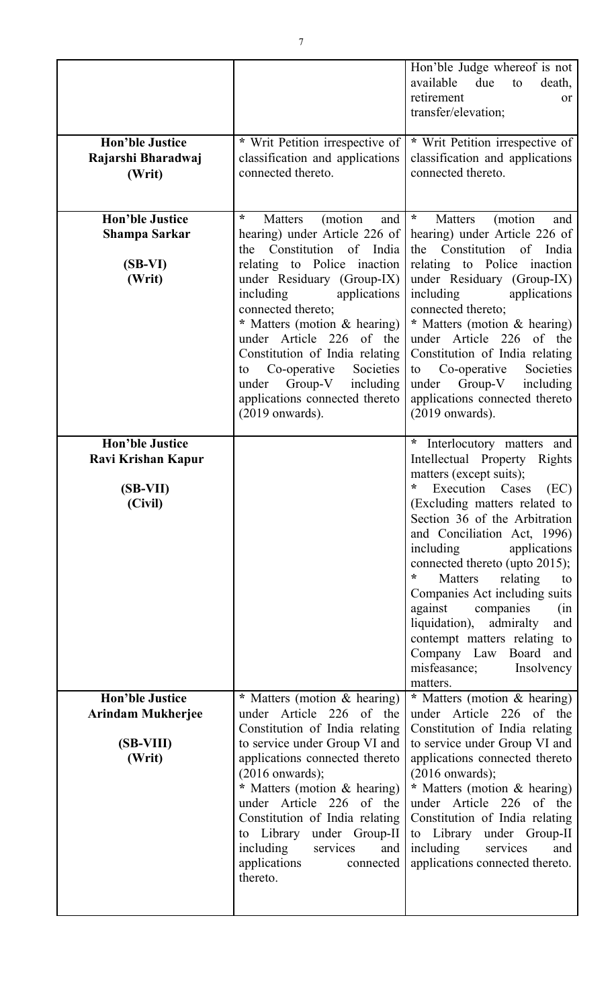|                                                                           |                                                                                                                                                                                                                                                                                                                                                                                                                                                 | Hon'ble Judge whereof is not<br>available<br>due<br>to<br>death,<br>retirement<br><sub>or</sub><br>transfer/elevation;                                                                                                                                                                                                                                                                                                                                                                                                         |
|---------------------------------------------------------------------------|-------------------------------------------------------------------------------------------------------------------------------------------------------------------------------------------------------------------------------------------------------------------------------------------------------------------------------------------------------------------------------------------------------------------------------------------------|--------------------------------------------------------------------------------------------------------------------------------------------------------------------------------------------------------------------------------------------------------------------------------------------------------------------------------------------------------------------------------------------------------------------------------------------------------------------------------------------------------------------------------|
| <b>Hon'ble Justice</b><br>Rajarshi Bharadwaj<br>(Writ)                    | * Writ Petition irrespective of<br>classification and applications<br>connected thereto.                                                                                                                                                                                                                                                                                                                                                        | * Writ Petition irrespective of<br>classification and applications<br>connected thereto.                                                                                                                                                                                                                                                                                                                                                                                                                                       |
| <b>Hon'ble Justice</b><br><b>Shampa Sarkar</b><br>$(SB-VI)$<br>(Writ)     | ÷<br><b>Matters</b><br>(motion)<br>and<br>hearing) under Article 226 of<br>the Constitution of India<br>relating to Police inaction<br>under Residuary (Group-IX)<br>applications<br>including<br>connected thereto;<br>* Matters (motion & hearing)<br>under Article 226 of the<br>Constitution of India relating<br>Co-operative<br>Societies<br>to<br>$Group-V$<br>under<br>including<br>applications connected thereto<br>$(2019$ onwards). | $\star$<br>(motion<br>Matters<br>and<br>hearing) under Article 226 of<br>the Constitution of India<br>relating to Police inaction<br>under Residuary (Group-IX)<br>including<br>applications<br>connected thereto;<br>* Matters (motion & hearing)<br>under Article 226 of the<br>Constitution of India relating<br>Societies<br>Co-operative<br>to<br>Group-V<br>including<br>under<br>applications connected thereto<br>$(2019$ onwards).                                                                                    |
| <b>Hon'ble Justice</b><br>Ravi Krishan Kapur<br>$(SB-VII)$<br>(Civil)     |                                                                                                                                                                                                                                                                                                                                                                                                                                                 | *<br>Interlocutory matters and<br>Intellectual Property Rights<br>matters (except suits);<br>Execution Cases<br>(EC)<br>(Excluding matters related to<br>Section 36 of the Arbitration<br>and Conciliation Act, 1996)<br>including<br>applications<br>connected thereto (upto 2015);<br>*<br>Matters<br>relating<br>to<br>Companies Act including suits<br>against<br>companies<br>(in<br>liquidation),<br>admiralty<br>and<br>contempt matters relating to<br>Company Law Board and<br>misfeasance;<br>Insolvency<br>matters. |
| <b>Hon'ble Justice</b><br><b>Arindam Mukherjee</b><br>(SB-VIII)<br>(Writ) | * Matters (motion & hearing)<br>under Article 226 of the<br>Constitution of India relating<br>to service under Group VI and<br>applications connected thereto<br>$(2016$ onwards);<br>* Matters (motion & hearing)<br>under Article 226 of the<br>Constitution of India relating<br>to Library<br>under Group-II<br>including<br>services<br>and<br>applications<br>connected<br>thereto.                                                       | * Matters (motion & hearing)<br>under Article 226 of the<br>Constitution of India relating<br>to service under Group VI and<br>applications connected thereto<br>$(2016$ onwards);<br>* Matters (motion & hearing)<br>under Article 226 of the<br>Constitution of India relating<br>to Library<br>under Group-II<br>including<br>services<br>and<br>applications connected thereto.                                                                                                                                            |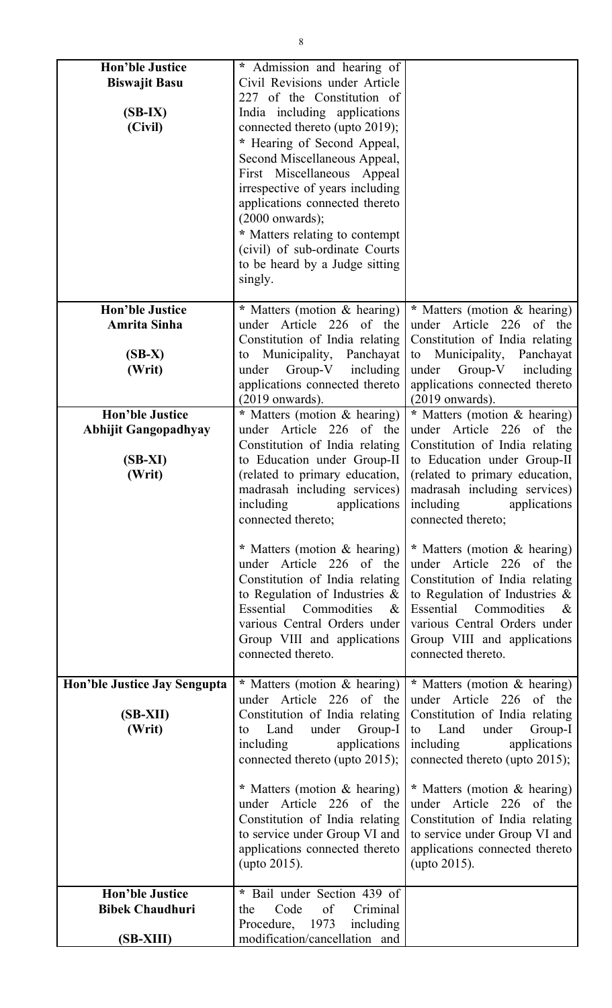| <b>Hon'ble Justice</b><br><b>Biswajit Basu</b><br>$(SB-IX)$<br>(Civil)       | * Admission and hearing of<br>Civil Revisions under Article<br>227 of the Constitution of<br>India including applications<br>connected thereto (upto 2019);<br>* Hearing of Second Appeal,<br>Second Miscellaneous Appeal,<br>First Miscellaneous Appeal<br>irrespective of years including |                                                                                                                                                                                                                                                                            |
|------------------------------------------------------------------------------|---------------------------------------------------------------------------------------------------------------------------------------------------------------------------------------------------------------------------------------------------------------------------------------------|----------------------------------------------------------------------------------------------------------------------------------------------------------------------------------------------------------------------------------------------------------------------------|
|                                                                              | applications connected thereto<br>$(2000$ onwards);<br>* Matters relating to contempt<br>(civil) of sub-ordinate Courts<br>to be heard by a Judge sitting<br>singly.                                                                                                                        |                                                                                                                                                                                                                                                                            |
| <b>Hon'ble Justice</b><br><b>Amrita Sinha</b><br>$(SB-X)$<br>(Writ)          | * Matters (motion & hearing)<br>under Article 226 of the<br>Constitution of India relating<br>Municipality, Panchayat<br>to<br>Group-V including<br>under<br>applications connected thereto<br>$(2019$ onwards).                                                                            | * Matters (motion & hearing)<br>under Article 226 of the<br>Constitution of India relating<br>Municipality,<br>Panchayat<br>to<br>under Group-V including<br>applications connected thereto<br>$(2019$ onwards).                                                           |
| <b>Hon'ble Justice</b><br><b>Abhijit Gangopadhyay</b><br>$(SB-XI)$<br>(Writ) | * Matters (motion & hearing)<br>under Article 226 of the<br>Constitution of India relating<br>to Education under Group-II<br>(related to primary education,<br>madrasah including services)<br>applications<br>including<br>connected thereto;                                              | * Matters (motion & hearing)<br>under Article 226 of the<br>Constitution of India relating<br>to Education under Group-II<br>(related to primary education,<br>madrasah including services)<br>including<br>applications<br>connected thereto;                             |
|                                                                              | * Matters (motion & hearing)<br>under Article 226 of the<br>Constitution of India relating<br>to Regulation of Industries $\&$<br>Essential Commodities<br>$\&$<br>various Central Orders under<br>Group VIII and applications<br>connected thereto.                                        | * Matters (motion & hearing)<br>under Article 226 of the<br>Constitution of India relating<br>to Regulation of Industries $\&$<br>Essential Commodities<br>$\boldsymbol{\mathcal{X}}$<br>various Central Orders under<br>Group VIII and applications<br>connected thereto. |
| Hon'ble Justice Jay Sengupta<br>(SB-XII)<br>(Writ)                           | * Matters (motion & hearing)<br>under Article 226 of the<br>Constitution of India relating<br>Group-I<br>Land<br>under<br>to<br>including<br>applications<br>connected thereto (upto 2015);                                                                                                 | * Matters (motion & hearing)<br>under Article 226 of the<br>Constitution of India relating<br>Land<br>under<br>to<br>Group-I<br>including<br>applications<br>connected thereto (upto 2015);                                                                                |
|                                                                              | * Matters (motion & hearing)<br>under Article 226 of the<br>Constitution of India relating<br>to service under Group VI and<br>applications connected thereto<br>(upto 2015).                                                                                                               | * Matters (motion & hearing)<br>under Article 226 of the<br>Constitution of India relating<br>to service under Group VI and<br>applications connected thereto<br>(upto 2015).                                                                                              |
| <b>Hon'ble Justice</b><br><b>Bibek Chaudhuri</b><br>$(SB-XIII)$              | * Bail under Section 439 of<br>Code<br>of<br>Criminal<br>the<br>Procedure, 1973<br>including<br>modification/cancellation and                                                                                                                                                               |                                                                                                                                                                                                                                                                            |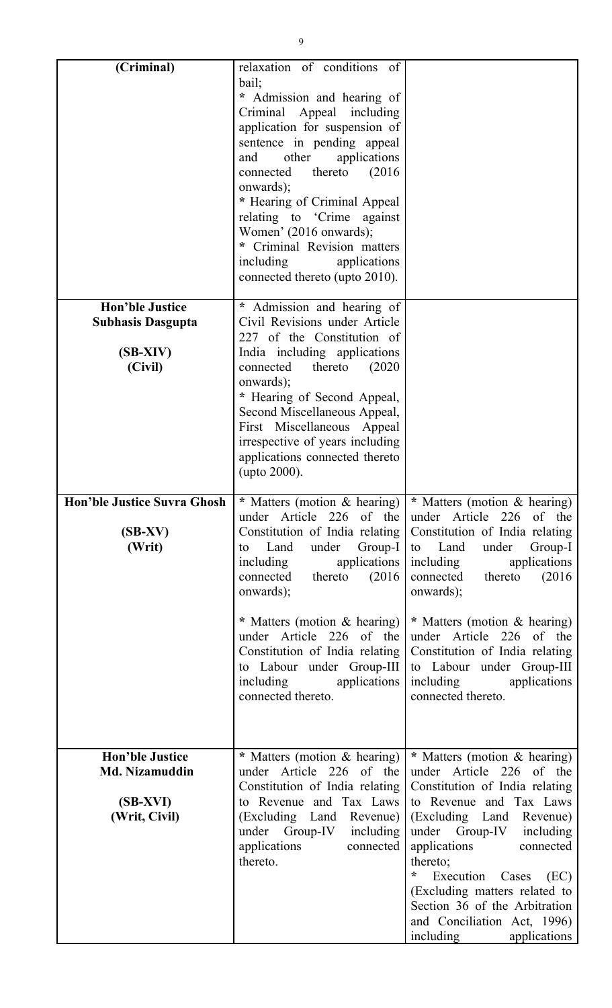| (Criminal)                                                                     | relaxation of conditions of                                                                                                                                                                                                                                                                                                                                                                                                                                  |                                                                                                                                                                                                                                                                                                                                                                                         |
|--------------------------------------------------------------------------------|--------------------------------------------------------------------------------------------------------------------------------------------------------------------------------------------------------------------------------------------------------------------------------------------------------------------------------------------------------------------------------------------------------------------------------------------------------------|-----------------------------------------------------------------------------------------------------------------------------------------------------------------------------------------------------------------------------------------------------------------------------------------------------------------------------------------------------------------------------------------|
|                                                                                | bail;<br>* Admission and hearing of<br>Criminal Appeal including<br>application for suspension of<br>sentence in pending appeal<br>other<br>applications<br>and<br>thereto<br>(2016)<br>connected<br>onwards);<br>* Hearing of Criminal Appeal<br>relating to 'Crime against<br>Women' (2016 onwards);<br>* Criminal Revision matters<br>including<br>applications<br>connected thereto (upto 2010).                                                         |                                                                                                                                                                                                                                                                                                                                                                                         |
| <b>Hon'ble Justice</b><br><b>Subhasis Dasgupta</b><br>$(SB-XIV)$<br>(Civil)    | * Admission and hearing of<br>Civil Revisions under Article<br>227 of the Constitution of<br>India including applications<br>connected<br>thereto<br>(2020)<br>onwards);<br>* Hearing of Second Appeal,<br>Second Miscellaneous Appeal,<br>First Miscellaneous Appeal<br>irrespective of years including<br>applications connected thereto<br>(upto 2000).                                                                                                   |                                                                                                                                                                                                                                                                                                                                                                                         |
| $(SB-XV)$<br>(Writ)                                                            | <b>Hon'ble Justice Suvra Ghosh   *</b> Matters (motion & hearing)   * Matters (motion & hearing)<br>under Article 226 of the<br>Constitution of India relating<br>Land<br>under<br>Group-I<br>to<br>applications  <br>including<br>thereto<br>(2016)<br>connected<br>onwards);<br>* Matters (motion & hearing)<br>under Article 226 of the<br>Constitution of India relating<br>to Labour under Group-III<br>including<br>applications<br>connected thereto. | under Article 226 of the<br>Constitution of India relating<br>to Land<br>under<br>Group-I<br>applications<br>including<br>thereto<br>connected<br>(2016)<br>onwards);<br>* Matters (motion & hearing)<br>under Article 226 of the<br>Constitution of India relating<br>to Labour under Group-III<br>including<br>applications<br>connected thereto.                                     |
| <b>Hon'ble Justice</b><br><b>Md. Nizamuddin</b><br>$(SB-XVI)$<br>(Writ, Civil) | * Matters (motion & hearing)<br>under Article 226 of the<br>Constitution of India relating<br>to Revenue and Tax Laws<br>(Excluding Land Revenue)<br>under Group-IV<br>including<br>applications<br>connected<br>thereto.                                                                                                                                                                                                                                    | * Matters (motion & hearing)<br>under Article 226 of the<br>Constitution of India relating<br>to Revenue and Tax Laws<br>(Excluding Land Revenue)<br>under Group-IV including<br>applications<br>connected<br>thereto;<br>÷<br>Execution<br>Cases<br>(EC)<br>(Excluding matters related to<br>Section 36 of the Arbitration<br>and Conciliation Act, 1996)<br>including<br>applications |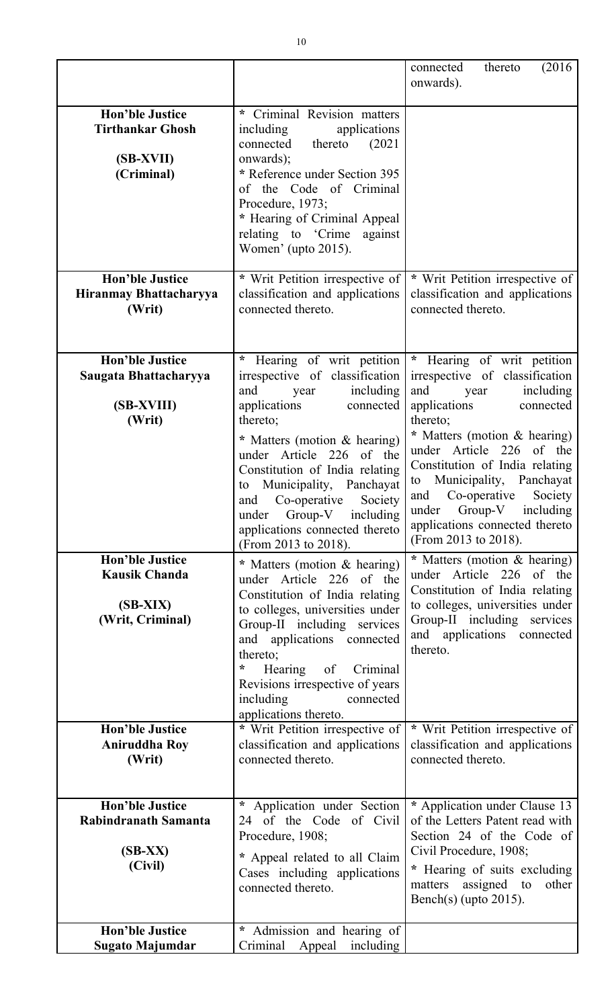|                                                                                  |                                                                                                                                                                                                                                                                                                                                                                                      | (2016)<br>connected<br>thereto<br>onwards).                                                                                                                                                                                                                                                                                                                                                             |
|----------------------------------------------------------------------------------|--------------------------------------------------------------------------------------------------------------------------------------------------------------------------------------------------------------------------------------------------------------------------------------------------------------------------------------------------------------------------------------|---------------------------------------------------------------------------------------------------------------------------------------------------------------------------------------------------------------------------------------------------------------------------------------------------------------------------------------------------------------------------------------------------------|
| <b>Hon'ble Justice</b><br><b>Tirthankar Ghosh</b><br>(SB-XVII)<br>(Criminal)     | * Criminal Revision matters<br>including<br>applications<br>(2021)<br>connected<br>thereto<br>onwards);<br>* Reference under Section 395<br>of the Code of Criminal<br>Procedure, 1973;<br>* Hearing of Criminal Appeal<br>relating to 'Crime<br>against<br>Women' (upto 2015).                                                                                                      |                                                                                                                                                                                                                                                                                                                                                                                                         |
| <b>Hon'ble Justice</b><br>Hiranmay Bhattacharyya<br>(Writ)                       | * Writ Petition irrespective of<br>classification and applications<br>connected thereto.                                                                                                                                                                                                                                                                                             | * Writ Petition irrespective of<br>classification and applications<br>connected thereto.                                                                                                                                                                                                                                                                                                                |
| <b>Hon'ble Justice</b><br>Saugata Bhattacharyya<br>(SB-XVIII)<br>(Writ)          | Hearing of writ petition<br>*<br>irrespective of classification<br>including<br>and<br>year<br>applications<br>connected<br>thereto;<br>* Matters (motion & hearing)<br>under Article 226 of the<br>Constitution of India relating<br>Municipality, Panchayat<br>to<br>and Co-operative Society<br>under Group-V including<br>applications connected thereto<br>(From 2013 to 2018). | Hearing of writ petition<br>$\ast$<br>irrespective of classification<br>including<br>and<br>year<br>applications<br>connected<br>thereto;<br>* Matters (motion & hearing)<br>226<br>under Article<br>of the<br>Constitution of India relating<br>Municipality, Panchayat<br>to<br>Co-operative<br>Society  <br>and<br>under Group-V including<br>applications connected thereto<br>(From 2013 to 2018). |
| <b>Hon'ble Justice</b><br><b>Kausik Chanda</b><br>$(SB-XIX)$<br>(Writ, Criminal) | * Matters (motion & hearing)<br>under Article 226 of the<br>Constitution of India relating<br>to colleges, universities under<br>Group-II including services<br>and applications connected<br>thereto;<br>÷<br>Hearing of Criminal<br>Revisions irrespective of years<br>including<br>connected<br>applications thereto.                                                             | * Matters (motion & hearing)<br>under Article 226 of the<br>Constitution of India relating<br>to colleges, universities under<br>Group-II including services<br>and applications connected<br>thereto.                                                                                                                                                                                                  |
| <b>Hon'ble Justice</b><br><b>Aniruddha Roy</b><br>(Writ)                         | * Writ Petition irrespective of<br>classification and applications<br>connected thereto.                                                                                                                                                                                                                                                                                             | * Writ Petition irrespective of<br>classification and applications<br>connected thereto.                                                                                                                                                                                                                                                                                                                |
| <b>Hon'ble Justice</b><br>Rabindranath Samanta<br>$(SB-XX)$<br>(Civil)           | $\ast$<br>Application under Section<br>24 of the Code of Civil<br>Procedure, 1908;<br>* Appeal related to all Claim<br>Cases including applications<br>connected thereto.                                                                                                                                                                                                            | * Application under Clause 13<br>of the Letters Patent read with<br>Section 24 of the Code of<br>Civil Procedure, 1908;<br>* Hearing of suits excluding<br>assigned to<br>other<br>matters<br>Bench(s) (upto $2015$ ).                                                                                                                                                                                  |
| <b>Hon'ble Justice</b><br>Sugato Majumdar                                        | * Admission and hearing of<br>Criminal<br>Appeal<br>including                                                                                                                                                                                                                                                                                                                        |                                                                                                                                                                                                                                                                                                                                                                                                         |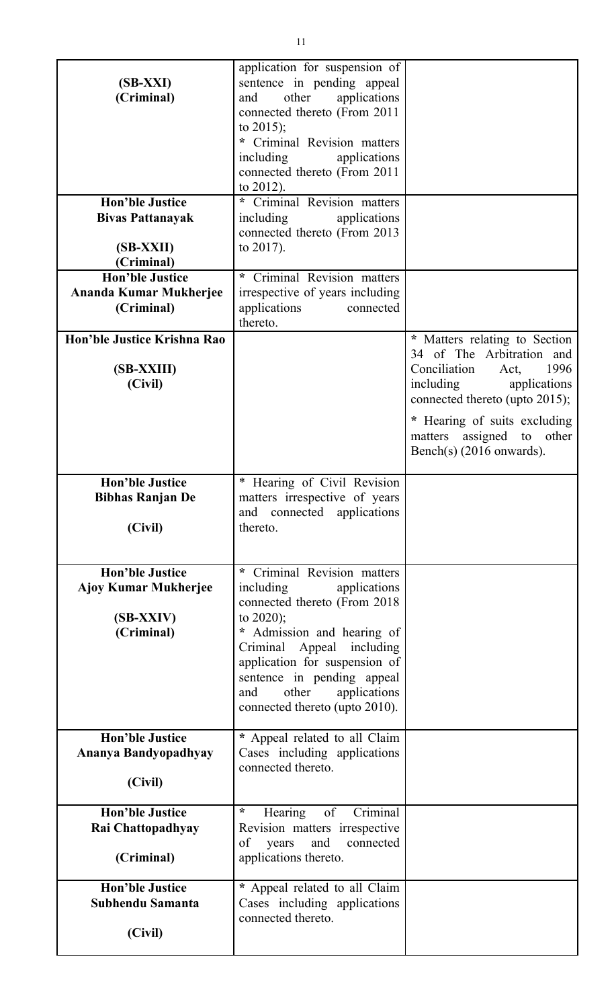| $(SB-XXI)$<br>(Criminal)                                                         | application for suspension of<br>sentence in pending appeal<br>applications<br>other<br>and<br>connected thereto (From 2011<br>to $2015$ ;<br>Criminal Revision matters<br>including<br>applications<br>connected thereto (From 2011<br>to $2012$ ).                                                             |                                                                                                                                                                                                                                                         |
|----------------------------------------------------------------------------------|------------------------------------------------------------------------------------------------------------------------------------------------------------------------------------------------------------------------------------------------------------------------------------------------------------------|---------------------------------------------------------------------------------------------------------------------------------------------------------------------------------------------------------------------------------------------------------|
| <b>Hon'ble Justice</b><br><b>Bivas Pattanayak</b><br>(SB-XXII)<br>(Criminal)     | Criminal Revision matters<br>$\star$<br>including<br>applications<br>connected thereto (From 2013)<br>to $2017$ ).                                                                                                                                                                                               |                                                                                                                                                                                                                                                         |
| <b>Hon'ble Justice</b><br>Ananda Kumar Mukherjee<br>(Criminal)                   | Criminal Revision matters<br>*.<br>irrespective of years including<br>applications<br>connected<br>thereto.                                                                                                                                                                                                      |                                                                                                                                                                                                                                                         |
| Hon'ble Justice Krishna Rao<br>(SB-XXIII)<br>(Civil)                             |                                                                                                                                                                                                                                                                                                                  | * Matters relating to Section<br>34 of The Arbitration and<br>Conciliation<br>1996<br>Act,<br>including<br>applications<br>connected thereto (upto 2015);<br>* Hearing of suits excluding<br>assigned to other<br>matters<br>Bench(s) $(2016$ onwards). |
| <b>Hon'ble Justice</b><br><b>Bibhas Ranjan De</b><br>(Civil)                     | * Hearing of Civil Revision<br>matters irrespective of years<br>and connected applications<br>thereto.                                                                                                                                                                                                           |                                                                                                                                                                                                                                                         |
| <b>Hon'ble Justice</b><br><b>Ajoy Kumar Mukherjee</b><br>(SB-XXIV)<br>(Criminal) | Criminal Revision matters<br>*<br>including<br>applications<br>connected thereto (From 2018)<br>to $2020$ ;<br>Admission and hearing of<br>$\star$<br>Criminal Appeal including<br>application for suspension of<br>sentence in pending appeal<br>other<br>applications<br>and<br>connected thereto (upto 2010). |                                                                                                                                                                                                                                                         |
| <b>Hon'ble Justice</b><br>Ananya Bandyopadhyay<br>(Civil)                        | * Appeal related to all Claim<br>Cases including applications<br>connected thereto.                                                                                                                                                                                                                              |                                                                                                                                                                                                                                                         |
| <b>Hon'ble Justice</b><br>Rai Chattopadhyay<br>(Criminal)                        | ÷<br>of<br>Criminal<br>Hearing<br>Revision matters irrespective<br>of<br>and<br>years<br>connected<br>applications thereto.                                                                                                                                                                                      |                                                                                                                                                                                                                                                         |
| <b>Hon'ble Justice</b><br>Subhendu Samanta<br>(Civil)                            | * Appeal related to all Claim<br>Cases including applications<br>connected thereto.                                                                                                                                                                                                                              |                                                                                                                                                                                                                                                         |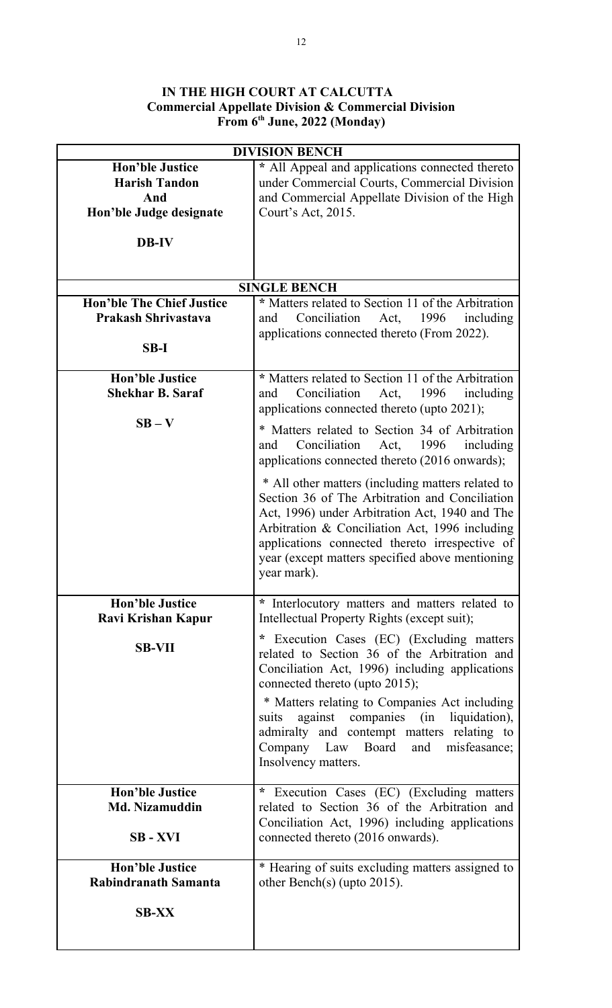## **IN THE HIGH COURT AT CALCUTTA Commercial Appellate Division & Commercial Division From 6th June, 2022 (Monday)**

| <b>DIVISION BENCH</b>                                                                            |                                                                                                                                                                                                                                                                                                                                                                                           |  |
|--------------------------------------------------------------------------------------------------|-------------------------------------------------------------------------------------------------------------------------------------------------------------------------------------------------------------------------------------------------------------------------------------------------------------------------------------------------------------------------------------------|--|
| <b>Hon'ble Justice</b><br><b>Harish Tandon</b><br>And<br>Hon'ble Judge designate<br><b>DB-IV</b> | * All Appeal and applications connected thereto<br>under Commercial Courts, Commercial Division<br>and Commercial Appellate Division of the High<br>Court's Act, 2015.                                                                                                                                                                                                                    |  |
|                                                                                                  |                                                                                                                                                                                                                                                                                                                                                                                           |  |
|                                                                                                  | <b>SINGLE BENCH</b>                                                                                                                                                                                                                                                                                                                                                                       |  |
| <b>Hon'ble The Chief Justice</b>                                                                 | * Matters related to Section 11 of the Arbitration                                                                                                                                                                                                                                                                                                                                        |  |
| <b>Prakash Shrivastava</b>                                                                       | Conciliation<br>Act,<br>1996<br>including<br>and                                                                                                                                                                                                                                                                                                                                          |  |
|                                                                                                  | applications connected thereto (From 2022).                                                                                                                                                                                                                                                                                                                                               |  |
| $SB-I$                                                                                           |                                                                                                                                                                                                                                                                                                                                                                                           |  |
|                                                                                                  |                                                                                                                                                                                                                                                                                                                                                                                           |  |
| <b>Hon'ble Justice</b>                                                                           | * Matters related to Section 11 of the Arbitration                                                                                                                                                                                                                                                                                                                                        |  |
| <b>Shekhar B. Saraf</b>                                                                          | Conciliation<br>1996<br>including<br>Act,<br>and                                                                                                                                                                                                                                                                                                                                          |  |
| $SB - V$                                                                                         | applications connected thereto (upto 2021);                                                                                                                                                                                                                                                                                                                                               |  |
|                                                                                                  | * Matters related to Section 34 of Arbitration<br>Conciliation<br>1996<br>Act,<br>including<br>and<br>applications connected thereto (2016 onwards);                                                                                                                                                                                                                                      |  |
|                                                                                                  | * All other matters (including matters related to<br>Section 36 of The Arbitration and Conciliation<br>Act, 1996) under Arbitration Act, 1940 and The<br>Arbitration & Conciliation Act, 1996 including<br>applications connected thereto irrespective of<br>year (except matters specified above mentioning<br>year mark).                                                               |  |
| <b>Hon'ble Justice</b>                                                                           | * Interlocutory matters and matters related to                                                                                                                                                                                                                                                                                                                                            |  |
| Ravi Krishan Kapur                                                                               | Intellectual Property Rights (except suit);                                                                                                                                                                                                                                                                                                                                               |  |
| <b>SB-VII</b>                                                                                    | * Execution Cases (EC) (Excluding matters<br>related to Section 36 of the Arbitration and<br>Conciliation Act, 1996) including applications<br>connected thereto (upto 2015);<br>* Matters relating to Companies Act including<br>against companies (in liquidation),<br>suits<br>admiralty and contempt matters relating to<br>Company Law Board and misfeasance;<br>Insolvency matters. |  |
| <b>Hon'ble Justice</b>                                                                           | Execution Cases (EC) (Excluding matters<br>$\ast$                                                                                                                                                                                                                                                                                                                                         |  |
| <b>Md. Nizamuddin</b>                                                                            | related to Section 36 of the Arbitration and                                                                                                                                                                                                                                                                                                                                              |  |
|                                                                                                  | Conciliation Act, 1996) including applications                                                                                                                                                                                                                                                                                                                                            |  |
| <b>SB-XVI</b>                                                                                    | connected thereto (2016 onwards).                                                                                                                                                                                                                                                                                                                                                         |  |
| <b>Hon'ble Justice</b>                                                                           | * Hearing of suits excluding matters assigned to                                                                                                                                                                                                                                                                                                                                          |  |
| Rabindranath Samanta                                                                             | other Bench(s) (upto $2015$ ).                                                                                                                                                                                                                                                                                                                                                            |  |
| <b>SB-XX</b>                                                                                     |                                                                                                                                                                                                                                                                                                                                                                                           |  |